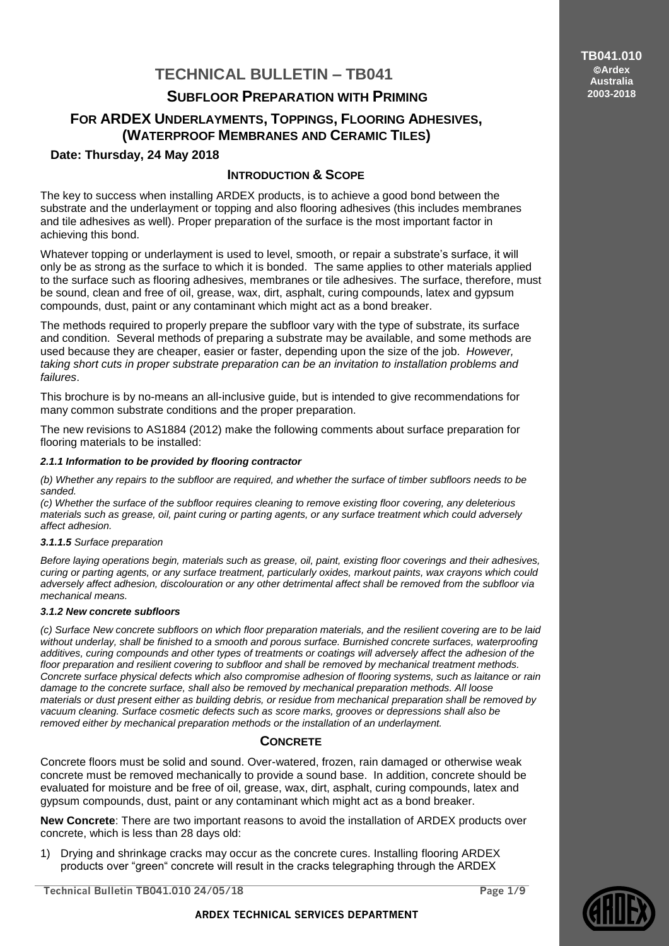# **TECHNICAL BULLETIN – TB041**

## **SUBFLOOR PREPARATION WITH PRIMING**

## **FOR ARDEX UNDERLAYMENTS, TOPPINGS, FLOORING ADHESIVES, (WATERPROOF MEMBRANES AND CERAMIC TILES)**

### **Date: Thursday, 24 May 2018**

## **INTRODUCTION & SCOPE**

The key to success when installing ARDEX products, is to achieve a good bond between the substrate and the underlayment or topping and also flooring adhesives (this includes membranes and tile adhesives as well). Proper preparation of the surface is the most important factor in achieving this bond.

Whatever topping or underlayment is used to level, smooth, or repair a substrate's surface, it will only be as strong as the surface to which it is bonded. The same applies to other materials applied to the surface such as flooring adhesives, membranes or tile adhesives. The surface, therefore, must be sound, clean and free of oil, grease, wax, dirt, asphalt, curing compounds, latex and gypsum compounds, dust, paint or any contaminant which might act as a bond breaker.

The methods required to properly prepare the subfloor vary with the type of substrate, its surface and condition. Several methods of preparing a substrate may be available, and some methods are used because they are cheaper, easier or faster, depending upon the size of the job. *However, taking short cuts in proper substrate preparation can be an invitation to installation problems and failures*.

This brochure is by no-means an all-inclusive guide, but is intended to give recommendations for many common substrate conditions and the proper preparation.

The new revisions to AS1884 (2012) make the following comments about surface preparation for flooring materials to be installed:

#### *2.1.1 Information to be provided by flooring contractor*

*(b) Whether any repairs to the subfloor are required, and whether the surface of timber subfloors needs to be sanded.*

*(c) Whether the surface of the subfloor requires cleaning to remove existing floor covering, any deleterious materials such as grease, oil, paint curing or parting agents, or any surface treatment which could adversely affect adhesion.*

#### *3.1.1.5 Surface preparation*

*Before laying operations begin, materials such as grease, oil, paint, existing floor coverings and their adhesives, curing or parting agents, or any surface treatment, particularly oxides, markout paints, wax crayons which could adversely affect adhesion, discolouration or any other detrimental affect shall be removed from the subfloor via mechanical means.*

#### *3.1.2 New concrete subfloors*

*(c) Surface New concrete subfloors on which floor preparation materials, and the resilient covering are to be laid without underlay, shall be finished to a smooth and porous surface. Burnished concrete surfaces, waterproofing additives, curing compounds and other types of treatments or coatings will adversely affect the adhesion of the floor preparation and resilient covering to subfloor and shall be removed by mechanical treatment methods. Concrete surface physical defects which also compromise adhesion of flooring systems, such as laitance or rain damage to the concrete surface, shall also be removed by mechanical preparation methods. All loose materials or dust present either as building debris, or residue from mechanical preparation shall be removed by vacuum cleaning. Surface cosmetic defects such as score marks, grooves or depressions shall also be removed either by mechanical preparation methods or the installation of an underlayment.*

## **CONCRETE**

Concrete floors must be solid and sound. Over-watered, frozen, rain damaged or otherwise weak concrete must be removed mechanically to provide a sound base. In addition, concrete should be evaluated for moisture and be free of oil, grease, wax, dirt, asphalt, curing compounds, latex and gypsum compounds, dust, paint or any contaminant which might act as a bond breaker.

**New Concrete**: There are two important reasons to avoid the installation of ARDEX products over concrete, which is less than 28 days old:

1) Drying and shrinkage cracks may occur as the concrete cures. Installing flooring ARDEX products over "green" concrete will result in the cracks telegraphing through the ARDEX

**Technical Bulletin TB041.010 24/05/18 Page 1/9**



**TB041.010 Ardex Australia 2003-2018**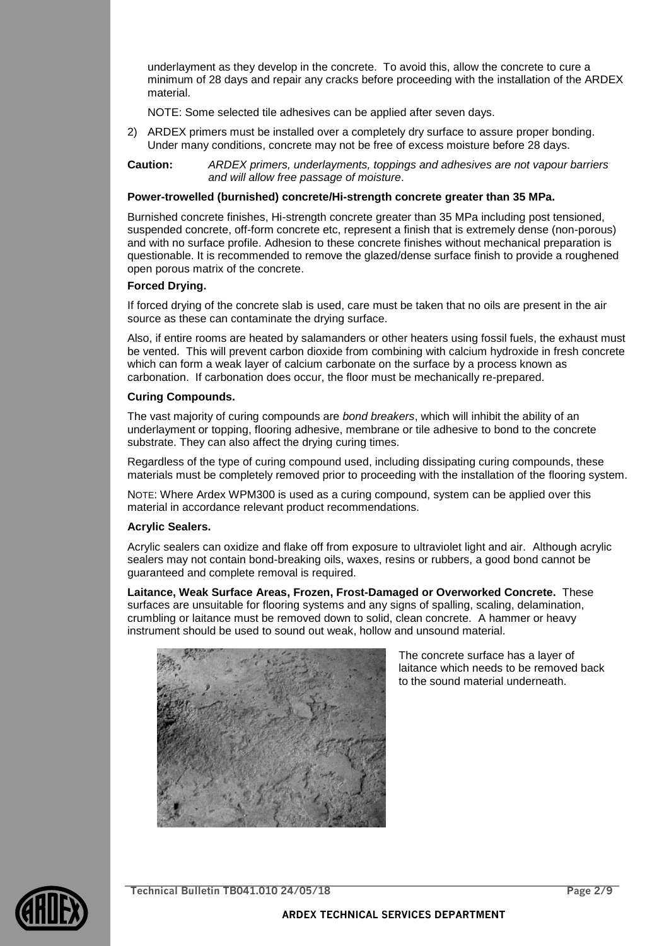underlayment as they develop in the concrete. To avoid this, allow the concrete to cure a minimum of 28 days and repair any cracks before proceeding with the installation of the ARDEX material.

NOTE: Some selected tile adhesives can be applied after seven days.

2) ARDEX primers must be installed over a completely dry surface to assure proper bonding. Under many conditions, concrete may not be free of excess moisture before 28 days.

**Caution:** *ARDEX primers, underlayments, toppings and adhesives are not vapour barriers and will allow free passage of moisture*.

#### **Power-trowelled (burnished) concrete/Hi-strength concrete greater than 35 MPa.**

Burnished concrete finishes, Hi-strength concrete greater than 35 MPa including post tensioned, suspended concrete, off-form concrete etc, represent a finish that is extremely dense (non-porous) and with no surface profile. Adhesion to these concrete finishes without mechanical preparation is questionable. It is recommended to remove the glazed/dense surface finish to provide a roughened open porous matrix of the concrete.

#### **Forced Drying.**

If forced drying of the concrete slab is used, care must be taken that no oils are present in the air source as these can contaminate the drying surface.

Also, if entire rooms are heated by salamanders or other heaters using fossil fuels, the exhaust must be vented. This will prevent carbon dioxide from combining with calcium hydroxide in fresh concrete which can form a weak layer of calcium carbonate on the surface by a process known as carbonation. If carbonation does occur, the floor must be mechanically re-prepared.

#### **Curing Compounds.**

The vast majority of curing compounds are *bond breakers*, which will inhibit the ability of an underlayment or topping, flooring adhesive, membrane or tile adhesive to bond to the concrete substrate. They can also affect the drying curing times.

Regardless of the type of curing compound used, including dissipating curing compounds, these materials must be completely removed prior to proceeding with the installation of the flooring system.

NOTE: Where Ardex WPM300 is used as a curing compound, system can be applied over this material in accordance relevant product recommendations.

#### **Acrylic Sealers.**

Acrylic sealers can oxidize and flake off from exposure to ultraviolet light and air. Although acrylic sealers may not contain bond-breaking oils, waxes, resins or rubbers, a good bond cannot be guaranteed and complete removal is required.

**Laitance, Weak Surface Areas, Frozen, Frost-Damaged or Overworked Concrete.** These surfaces are unsuitable for flooring systems and any signs of spalling, scaling, delamination, crumbling or laitance must be removed down to solid, clean concrete. A hammer or heavy instrument should be used to sound out weak, hollow and unsound material.



The concrete surface has a layer of laitance which needs to be removed back to the sound material underneath.



**Technical Bulletin TB041.010 24/05/18 Page 2/9**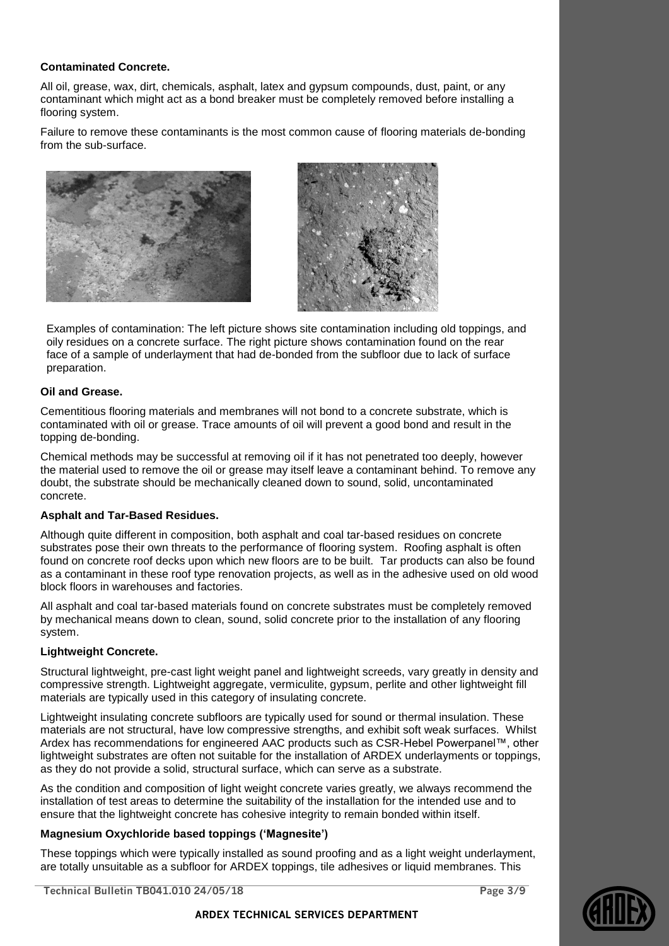#### **Contaminated Concrete.**

All oil, grease, wax, dirt, chemicals, asphalt, latex and gypsum compounds, dust, paint, or any contaminant which might act as a bond breaker must be completely removed before installing a flooring system.

Failure to remove these contaminants is the most common cause of flooring materials de-bonding from the sub-surface.





Examples of contamination: The left picture shows site contamination including old toppings, and oily residues on a concrete surface. The right picture shows contamination found on the rear face of a sample of underlayment that had de-bonded from the subfloor due to lack of surface preparation.

#### **Oil and Grease.**

Cementitious flooring materials and membranes will not bond to a concrete substrate, which is contaminated with oil or grease. Trace amounts of oil will prevent a good bond and result in the topping de-bonding.

Chemical methods may be successful at removing oil if it has not penetrated too deeply, however the material used to remove the oil or grease may itself leave a contaminant behind. To remove any doubt, the substrate should be mechanically cleaned down to sound, solid, uncontaminated concrete.

#### **Asphalt and Tar-Based Residues.**

Although quite different in composition, both asphalt and coal tar-based residues on concrete substrates pose their own threats to the performance of flooring system. Roofing asphalt is often found on concrete roof decks upon which new floors are to be built. Tar products can also be found as a contaminant in these roof type renovation projects, as well as in the adhesive used on old wood block floors in warehouses and factories.

All asphalt and coal tar-based materials found on concrete substrates must be completely removed by mechanical means down to clean, sound, solid concrete prior to the installation of any flooring system.

#### **Lightweight Concrete.**

Structural lightweight, pre-cast light weight panel and lightweight screeds, vary greatly in density and compressive strength. Lightweight aggregate, vermiculite, gypsum, perlite and other lightweight fill materials are typically used in this category of insulating concrete.

Lightweight insulating concrete subfloors are typically used for sound or thermal insulation. These materials are not structural, have low compressive strengths, and exhibit soft weak surfaces. Whilst Ardex has recommendations for engineered AAC products such as CSR-Hebel Powerpanel™, other lightweight substrates are often not suitable for the installation of ARDEX underlayments or toppings, as they do not provide a solid, structural surface, which can serve as a substrate.

As the condition and composition of light weight concrete varies greatly, we always recommend the installation of test areas to determine the suitability of the installation for the intended use and to ensure that the lightweight concrete has cohesive integrity to remain bonded within itself.

#### **Magnesium Oxychloride based toppings ('Magnesite')**

These toppings which were typically installed as sound proofing and as a light weight underlayment, are totally unsuitable as a subfloor for ARDEX toppings, tile adhesives or liquid membranes. This

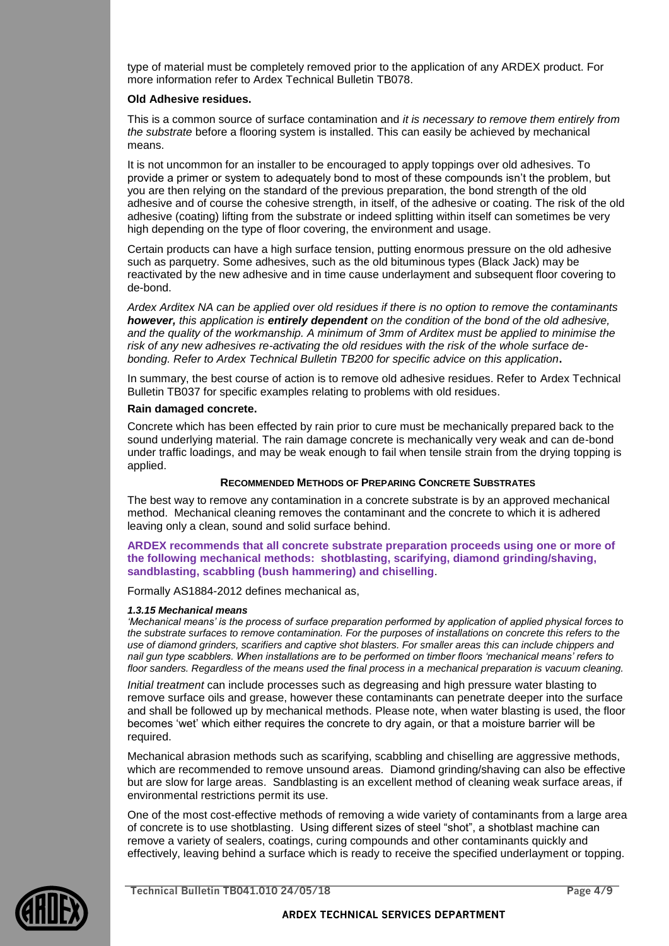type of material must be completely removed prior to the application of any ARDEX product. For more information refer to Ardex Technical Bulletin TB078.

#### **Old Adhesive residues.**

This is a common source of surface contamination and *it is necessary to remove them entirely from the substrate* before a flooring system is installed. This can easily be achieved by mechanical means.

It is not uncommon for an installer to be encouraged to apply toppings over old adhesives. To provide a primer or system to adequately bond to most of these compounds isn't the problem, but you are then relying on the standard of the previous preparation, the bond strength of the old adhesive and of course the cohesive strength, in itself, of the adhesive or coating. The risk of the old adhesive (coating) lifting from the substrate or indeed splitting within itself can sometimes be very high depending on the type of floor covering, the environment and usage.

Certain products can have a high surface tension, putting enormous pressure on the old adhesive such as parquetry. Some adhesives, such as the old bituminous types (Black Jack) may be reactivated by the new adhesive and in time cause underlayment and subsequent floor covering to de-bond.

*Ardex Arditex NA can be applied over old residues if there is no option to remove the contaminants however, this application is entirely dependent on the condition of the bond of the old adhesive, and the quality of the workmanship. A minimum of 3mm of Arditex must be applied to minimise the risk of any new adhesives re-activating the old residues with the risk of the whole surface debonding. Refer to Ardex Technical Bulletin TB200 for specific advice on this application***.**

In summary, the best course of action is to remove old adhesive residues. Refer to Ardex Technical Bulletin TB037 for specific examples relating to problems with old residues.

#### **Rain damaged concrete.**

Concrete which has been effected by rain prior to cure must be mechanically prepared back to the sound underlying material. The rain damage concrete is mechanically very weak and can de-bond under traffic loadings, and may be weak enough to fail when tensile strain from the drying topping is applied.

#### **RECOMMENDED METHODS OF PREPARING CONCRETE SUBSTRATES**

The best way to remove any contamination in a concrete substrate is by an approved mechanical method. Mechanical cleaning removes the contaminant and the concrete to which it is adhered leaving only a clean, sound and solid surface behind.

#### **ARDEX recommends that all concrete substrate preparation proceeds using one or more of the following mechanical methods: shotblasting, scarifying, diamond grinding/shaving, sandblasting, scabbling (bush hammering) and chiselling**.

Formally AS1884-2012 defines mechanical as,

#### *1.3.15 Mechanical means*

*'Mechanical means' is the process of surface preparation performed by application of applied physical forces to the substrate surfaces to remove contamination. For the purposes of installations on concrete this refers to the use of diamond grinders, scarifiers and captive shot blasters. For smaller areas this can include chippers and nail gun type scabblers. When installations are to be performed on timber floors 'mechanical means' refers to floor sanders. Regardless of the means used the final process in a mechanical preparation is vacuum cleaning.*

*Initial treatment* can include processes such as degreasing and high pressure water blasting to remove surface oils and grease, however these contaminants can penetrate deeper into the surface and shall be followed up by mechanical methods. Please note, when water blasting is used, the floor becomes 'wet' which either requires the concrete to dry again, or that a moisture barrier will be required.

Mechanical abrasion methods such as scarifying, scabbling and chiselling are aggressive methods, which are recommended to remove unsound areas. Diamond grinding/shaving can also be effective but are slow for large areas. Sandblasting is an excellent method of cleaning weak surface areas, if environmental restrictions permit its use.

One of the most cost-effective methods of removing a wide variety of contaminants from a large area of concrete is to use shotblasting. Using different sizes of steel "shot", a shotblast machine can remove a variety of sealers, coatings, curing compounds and other contaminants quickly and effectively, leaving behind a surface which is ready to receive the specified underlayment or topping.



**Technical Bulletin TB041.010 24/05/18 Page 4/9**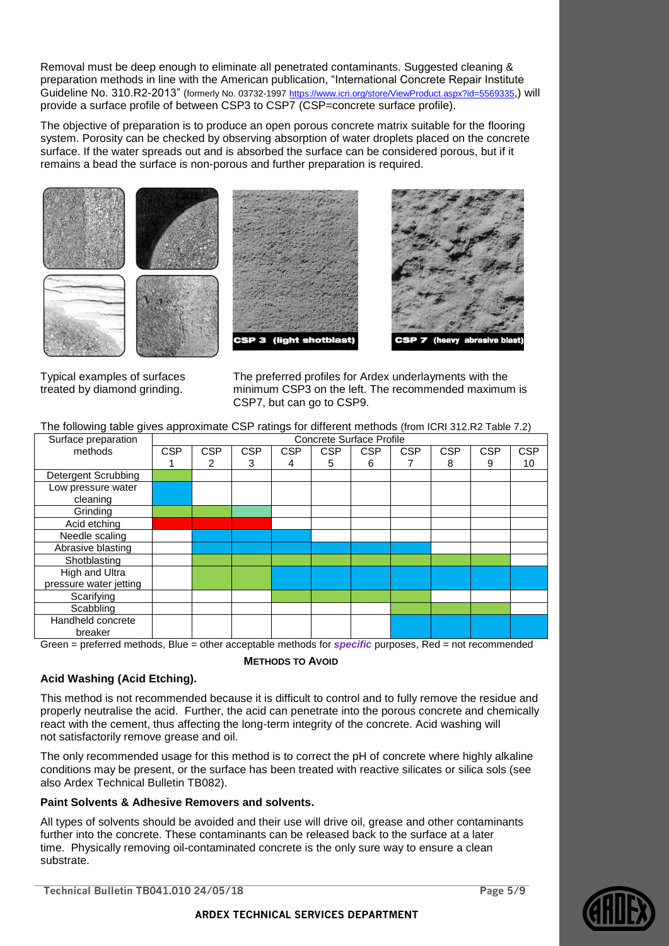Removal must be deep enough to eliminate all penetrated contaminants. Suggested cleaning & preparation methods in line with the American publication, "International Concrete Repair Institute Guideline No. 310.R2-2013" (formerly No. 03732-1997 <https://www.icri.org/store/ViewProduct.aspx?id=5569335>,) will provide a surface profile of between CSP3 to CSP7 (CSP=concrete surface profile).

The objective of preparation is to produce an open porous concrete matrix suitable for the flooring system. Porosity can be checked by observing absorption of water droplets placed on the concrete surface. If the water spreads out and is absorbed the surface can be considered porous, but if it remains a bead the surface is non-porous and further preparation is required.



Typical examples of surfaces treated by diamond grinding.

The preferred profiles for Ardex underlayments with the minimum CSP3 on the left. The recommended maximum is CSP7, but can go to CSP9.

| The following table gives approximate CSP ratings for different methods (from ICRI 312.R2 Table 7.2) |                                 |            |            |            |            |            |            |            |            |            |
|------------------------------------------------------------------------------------------------------|---------------------------------|------------|------------|------------|------------|------------|------------|------------|------------|------------|
| Surface preparation                                                                                  | <b>Concrete Surface Profile</b> |            |            |            |            |            |            |            |            |            |
| methods                                                                                              | <b>CSP</b>                      | <b>CSP</b> | <b>CSP</b> | <b>CSP</b> | <b>CSP</b> | <b>CSP</b> | <b>CSP</b> | <b>CSP</b> | <b>CSP</b> | <b>CSP</b> |
|                                                                                                      |                                 | 2          | 3          | 4          | 5          | 6          |            | 8          | 9          | 10         |
| <b>Detergent Scrubbing</b>                                                                           |                                 |            |            |            |            |            |            |            |            |            |
| Low pressure water                                                                                   |                                 |            |            |            |            |            |            |            |            |            |
| cleaning                                                                                             |                                 |            |            |            |            |            |            |            |            |            |
| Grinding                                                                                             |                                 |            |            |            |            |            |            |            |            |            |
| Acid etching                                                                                         |                                 |            |            |            |            |            |            |            |            |            |
| Needle scaling                                                                                       |                                 |            |            |            |            |            |            |            |            |            |
| Abrasive blasting                                                                                    |                                 |            |            |            |            |            |            |            |            |            |
| Shotblasting                                                                                         |                                 |            |            |            |            |            |            |            |            |            |
| High and Ultra                                                                                       |                                 |            |            |            |            |            |            |            |            |            |
| pressure water jetting                                                                               |                                 |            |            |            |            |            |            |            |            |            |
| Scarifying                                                                                           |                                 |            |            |            |            |            |            |            |            |            |
| Scabbling                                                                                            |                                 |            |            |            |            |            |            |            |            |            |
| Handheld concrete                                                                                    |                                 |            |            |            |            |            |            |            |            |            |
| breaker                                                                                              |                                 |            |            |            |            |            |            |            |            |            |

Green = preferred methods, Blue = other acceptable methods for *specific* purposes, Red = not recommended

**METHODS TO AVOID**

## **Acid Washing (Acid Etching).**

This method is not recommended because it is difficult to control and to fully remove the residue and properly neutralise the acid. Further, the acid can penetrate into the porous concrete and chemically react with the cement, thus affecting the long-term integrity of the concrete. Acid washing will not satisfactorily remove grease and oil.

The only recommended usage for this method is to correct the pH of concrete where highly alkaline conditions may be present, or the surface has been treated with reactive silicates or silica sols (see also Ardex Technical Bulletin TB082).

## **Paint Solvents & Adhesive Removers and solvents.**

All types of solvents should be avoided and their use will drive oil, grease and other contaminants further into the concrete. These contaminants can be released back to the surface at a later time. Physically removing oil-contaminated concrete is the only sure way to ensure a clean substrate.

**Technical Bulletin TB041.010 24/05/18 Page 5/9**

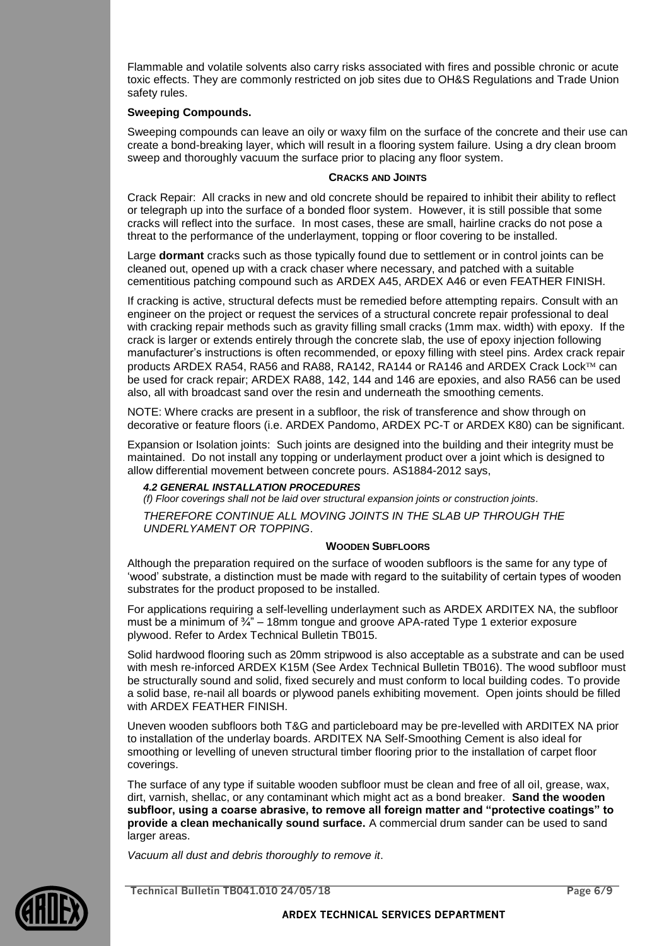Flammable and volatile solvents also carry risks associated with fires and possible chronic or acute toxic effects. They are commonly restricted on job sites due to OH&S Regulations and Trade Union safety rules.

#### **Sweeping Compounds.**

Sweeping compounds can leave an oily or waxy film on the surface of the concrete and their use can create a bond-breaking layer, which will result in a flooring system failure. Using a dry clean broom sweep and thoroughly vacuum the surface prior to placing any floor system.

#### **CRACKS AND JOINTS**

Crack Repair: All cracks in new and old concrete should be repaired to inhibit their ability to reflect or telegraph up into the surface of a bonded floor system. However, it is still possible that some cracks will reflect into the surface. In most cases, these are small, hairline cracks do not pose a threat to the performance of the underlayment, topping or floor covering to be installed.

Large **dormant** cracks such as those typically found due to settlement or in control joints can be cleaned out, opened up with a crack chaser where necessary, and patched with a suitable cementitious patching compound such as ARDEX A45, ARDEX A46 or even FEATHER FINISH.

If cracking is active, structural defects must be remedied before attempting repairs. Consult with an engineer on the project or request the services of a structural concrete repair professional to deal with cracking repair methods such as gravity filling small cracks (1mm max. width) with epoxy. If the crack is larger or extends entirely through the concrete slab, the use of epoxy injection following manufacturer's instructions is often recommended, or epoxy filling with steel pins. Ardex crack repair products ARDEX RA54, RA56 and RA88, RA142, RA144 or RA146 and ARDEX Crack Lock™ can be used for crack repair; ARDEX RA88, 142, 144 and 146 are epoxies, and also RA56 can be used also, all with broadcast sand over the resin and underneath the smoothing cements.

NOTE: Where cracks are present in a subfloor, the risk of transference and show through on decorative or feature floors (i.e. ARDEX Pandomo, ARDEX PC-T or ARDEX K80) can be significant.

Expansion or Isolation joints: Such joints are designed into the building and their integrity must be maintained. Do not install any topping or underlayment product over a joint which is designed to allow differential movement between concrete pours. AS1884-2012 says,

#### *4.2 GENERAL INSTALLATION PROCEDURES*

*(f) Floor coverings shall not be laid over structural expansion joints or construction joints. THEREFORE CONTINUE ALL MOVING JOINTS IN THE SLAB UP THROUGH THE UNDERLYAMENT OR TOPPING*.

#### **WOODEN SUBFLOORS**

Although the preparation required on the surface of wooden subfloors is the same for any type of 'wood' substrate, a distinction must be made with regard to the suitability of certain types of wooden substrates for the product proposed to be installed.

For applications requiring a self-levelling underlayment such as ARDEX ARDITEX NA, the subfloor must be a minimum of  $\frac{3}{4}$ " – 18mm tongue and groove APA-rated Type 1 exterior exposure plywood. Refer to Ardex Technical Bulletin TB015.

Solid hardwood flooring such as 20mm stripwood is also acceptable as a substrate and can be used with mesh re-inforced ARDEX K15M (See Ardex Technical Bulletin TB016). The wood subfloor must be structurally sound and solid, fixed securely and must conform to local building codes. To provide a solid base, re-nail all boards or plywood panels exhibiting movement. Open joints should be filled with ARDEX FEATHER FINISH.

Uneven wooden subfloors both T&G and particleboard may be pre-levelled with ARDITEX NA prior to installation of the underlay boards. ARDITEX NA Self-Smoothing Cement is also ideal for smoothing or levelling of uneven structural timber flooring prior to the installation of carpet floor coverings.

The surface of any type if suitable wooden subfloor must be clean and free of all oil, grease, wax, dirt, varnish, shellac, or any contaminant which might act as a bond breaker. **Sand the wooden subfloor, using a coarse abrasive, to remove all foreign matter and "protective coatings" to provide a clean mechanically sound surface.** A commercial drum sander can be used to sand larger areas.

*Vacuum all dust and debris thoroughly to remove it*.



**Technical Bulletin TB041.010 24/05/18 Page 6/9**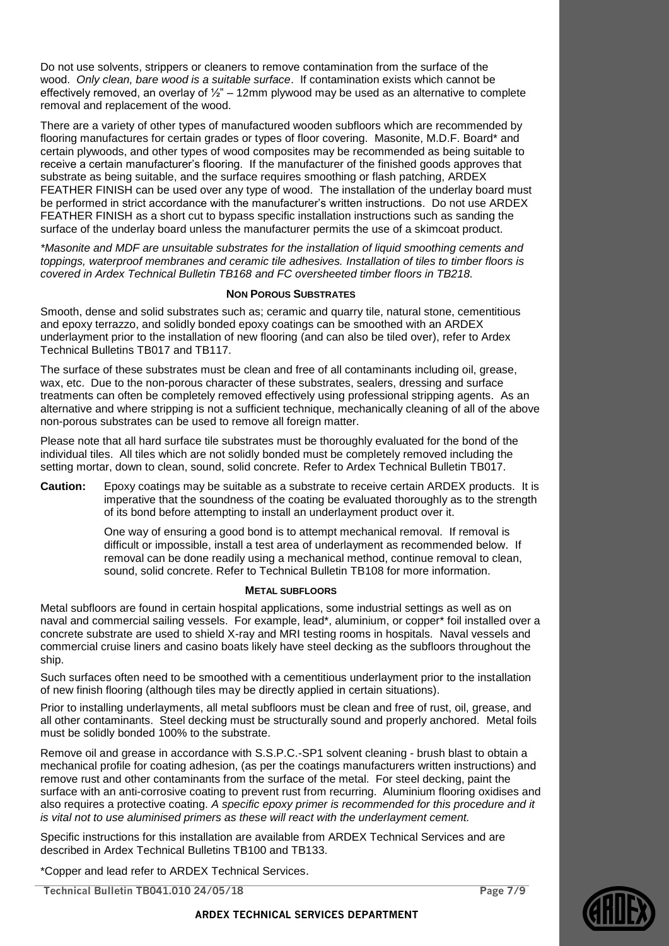Do not use solvents, strippers or cleaners to remove contamination from the surface of the wood. *Only clean, bare wood is a suitable surface*. If contamination exists which cannot be effectively removed, an overlay of  $\frac{1}{2}$ " – 12mm plywood may be used as an alternative to complete removal and replacement of the wood.

There are a variety of other types of manufactured wooden subfloors which are recommended by flooring manufactures for certain grades or types of floor covering. Masonite, M.D.F. Board\* and certain plywoods, and other types of wood composites may be recommended as being suitable to receive a certain manufacturer's flooring. If the manufacturer of the finished goods approves that substrate as being suitable, and the surface requires smoothing or flash patching, ARDEX FEATHER FINISH can be used over any type of wood. The installation of the underlay board must be performed in strict accordance with the manufacturer's written instructions. Do not use ARDEX FEATHER FINISH as a short cut to bypass specific installation instructions such as sanding the surface of the underlay board unless the manufacturer permits the use of a skimcoat product.

*\*Masonite and MDF are unsuitable substrates for the installation of liquid smoothing cements and toppings, waterproof membranes and ceramic tile adhesives. Installation of tiles to timber floors is covered in Ardex Technical Bulletin TB168 and FC oversheeted timber floors in TB218.*

#### **NON POROUS SUBSTRATES**

Smooth, dense and solid substrates such as; ceramic and quarry tile, natural stone, cementitious and epoxy terrazzo, and solidly bonded epoxy coatings can be smoothed with an ARDEX underlayment prior to the installation of new flooring (and can also be tiled over), refer to Ardex Technical Bulletins TB017 and TB117.

The surface of these substrates must be clean and free of all contaminants including oil, grease, wax, etc. Due to the non-porous character of these substrates, sealers, dressing and surface treatments can often be completely removed effectively using professional stripping agents. As an alternative and where stripping is not a sufficient technique, mechanically cleaning of all of the above non-porous substrates can be used to remove all foreign matter.

Please note that all hard surface tile substrates must be thoroughly evaluated for the bond of the individual tiles. All tiles which are not solidly bonded must be completely removed including the setting mortar, down to clean, sound, solid concrete. Refer to Ardex Technical Bulletin TB017.

**Caution:** Epoxy coatings may be suitable as a substrate to receive certain ARDEX products. It is imperative that the soundness of the coating be evaluated thoroughly as to the strength of its bond before attempting to install an underlayment product over it.

> One way of ensuring a good bond is to attempt mechanical removal. If removal is difficult or impossible, install a test area of underlayment as recommended below. If removal can be done readily using a mechanical method, continue removal to clean, sound, solid concrete. Refer to Technical Bulletin TB108 for more information.

#### **METAL SUBFLOORS**

Metal subfloors are found in certain hospital applications, some industrial settings as well as on naval and commercial sailing vessels. For example, lead\*, aluminium, or copper\* foil installed over a concrete substrate are used to shield X-ray and MRI testing rooms in hospitals. Naval vessels and commercial cruise liners and casino boats likely have steel decking as the subfloors throughout the ship.

Such surfaces often need to be smoothed with a cementitious underlayment prior to the installation of new finish flooring (although tiles may be directly applied in certain situations).

Prior to installing underlayments, all metal subfloors must be clean and free of rust, oil, grease, and all other contaminants. Steel decking must be structurally sound and properly anchored. Metal foils must be solidly bonded 100% to the substrate.

Remove oil and grease in accordance with S.S.P.C.-SP1 solvent cleaning - brush blast to obtain a mechanical profile for coating adhesion, (as per the coatings manufacturers written instructions) and remove rust and other contaminants from the surface of the metal. For steel decking, paint the surface with an anti-corrosive coating to prevent rust from recurring. Aluminium flooring oxidises and also requires a protective coating. *A specific epoxy primer is recommended for this procedure and it is vital not to use aluminised primers as these will react with the underlayment cement.*

Specific instructions for this installation are available from ARDEX Technical Services and are described in Ardex Technical Bulletins TB100 and TB133.

\*Copper and lead refer to ARDEX Technical Services.

**Technical Bulletin TB041.010 24/05/18 Page 7/9**

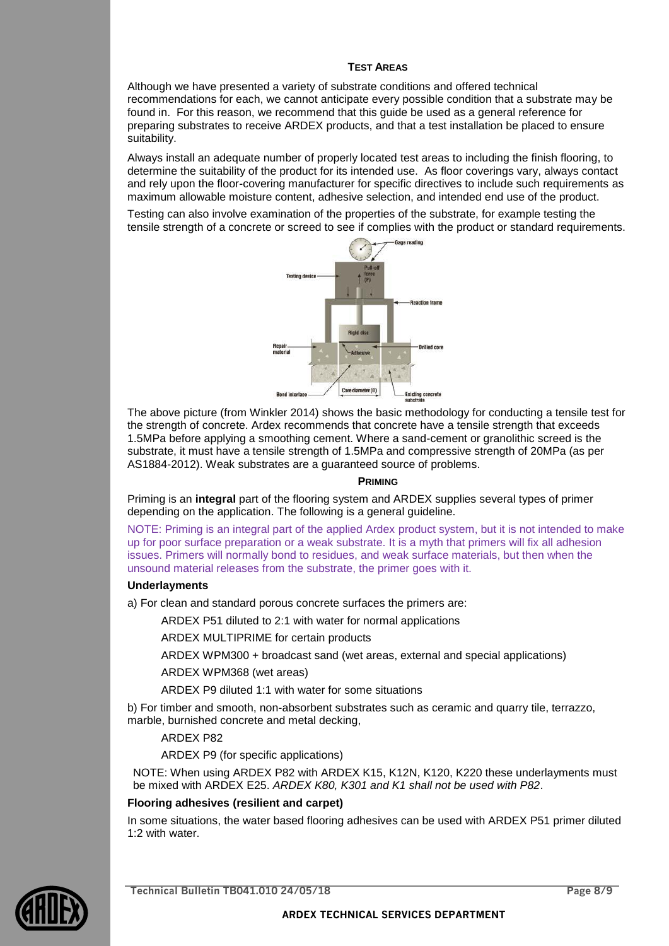#### **TEST AREAS**

Although we have presented a variety of substrate conditions and offered technical recommendations for each, we cannot anticipate every possible condition that a substrate may be found in. For this reason, we recommend that this guide be used as a general reference for preparing substrates to receive ARDEX products, and that a test installation be placed to ensure suitability.

Always install an adequate number of properly located test areas to including the finish flooring, to determine the suitability of the product for its intended use. As floor coverings vary, always contact and rely upon the floor-covering manufacturer for specific directives to include such requirements as maximum allowable moisture content, adhesive selection, and intended end use of the product.

Testing can also involve examination of the properties of the substrate, for example testing the tensile strength of a concrete or screed to see if complies with the product or standard requirements.



The above picture (from Winkler 2014) shows the basic methodology for conducting a tensile test for the strength of concrete. Ardex recommends that concrete have a tensile strength that exceeds 1.5MPa before applying a smoothing cement. Where a sand-cement or granolithic screed is the substrate, it must have a tensile strength of 1.5MPa and compressive strength of 20MPa (as per AS1884-2012). Weak substrates are a guaranteed source of problems.

#### **PRIMING**

Priming is an **integral** part of the flooring system and ARDEX supplies several types of primer depending on the application. The following is a general guideline.

NOTE: Priming is an integral part of the applied Ardex product system, but it is not intended to make up for poor surface preparation or a weak substrate. It is a myth that primers will fix all adhesion issues. Primers will normally bond to residues, and weak surface materials, but then when the unsound material releases from the substrate, the primer goes with it.

#### **Underlayments**

a) For clean and standard porous concrete surfaces the primers are:

ARDEX P51 diluted to 2:1 with water for normal applications

ARDEX MULTIPRIME for certain products

ARDEX WPM300 + broadcast sand (wet areas, external and special applications)

ARDEX WPM368 (wet areas)

ARDEX P9 diluted 1:1 with water for some situations

b) For timber and smooth, non-absorbent substrates such as ceramic and quarry tile, terrazzo, marble, burnished concrete and metal decking,

#### ARDEX P82

ARDEX P9 (for specific applications)

NOTE: When using ARDEX P82 with ARDEX K15, K12N, K120, K220 these underlayments must be mixed with ARDEX E25. *ARDEX K80, K301 and K1 shall not be used with P82*.

#### **Flooring adhesives (resilient and carpet)**

In some situations, the water based flooring adhesives can be used with ARDEX P51 primer diluted 1:2 with water.



**Technical Bulletin TB041.010 24/05/18 Page 8/9**